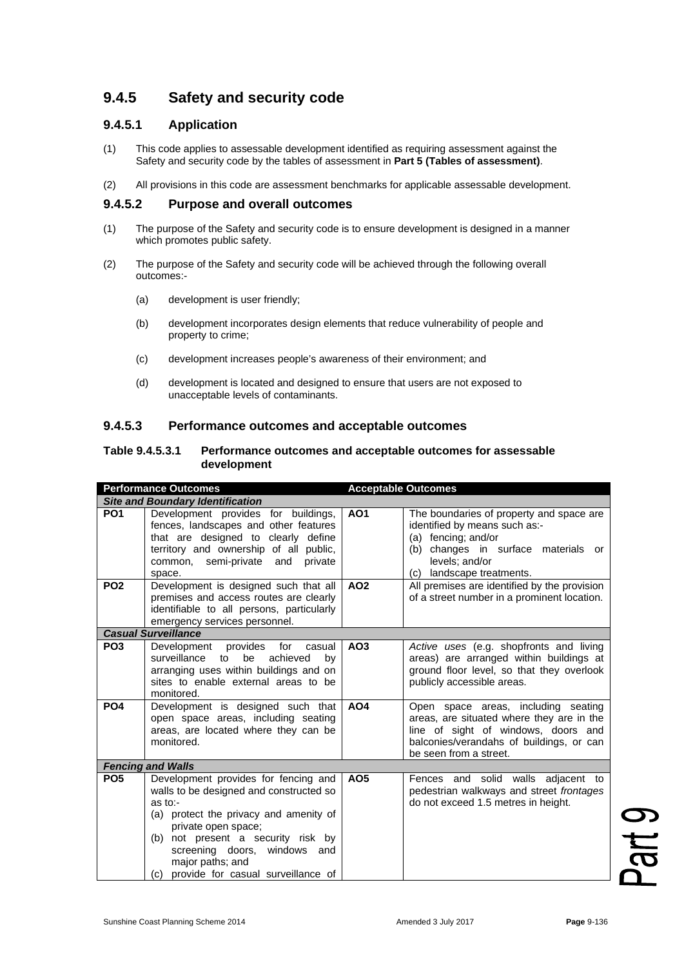# **9.4.5 Safety and security code**

## **9.4.5.1 Application**

- (1) This code applies to assessable development identified as requiring assessment against the Safety and security code by the tables of assessment in **Part 5 (Tables of assessment)**.
- (2) All provisions in this code are assessment benchmarks for applicable assessable development.

### **9.4.5.2 Purpose and overall outcomes**

- (1) The purpose of the Safety and security code is to ensure development is designed in a manner which promotes public safety.
- (2) The purpose of the Safety and security code will be achieved through the following overall outcomes:-
	- (a) development is user friendly;
	- (b) development incorporates design elements that reduce vulnerability of people and property to crime;
	- (c) development increases people's awareness of their environment; and
	- (d) development is located and designed to ensure that users are not exposed to unacceptable levels of contaminants.

#### **9.4.5.3 Performance outcomes and acceptable outcomes**

#### **Table 9.4.5.3.1 Performance outcomes and acceptable outcomes for assessable development**

| <b>Performance Outcomes</b>             |                                                                                                                                                                                                                                                                                                      | <b>Acceptable Outcomes</b> |                                                                                                                                                                                               |  |  |
|-----------------------------------------|------------------------------------------------------------------------------------------------------------------------------------------------------------------------------------------------------------------------------------------------------------------------------------------------------|----------------------------|-----------------------------------------------------------------------------------------------------------------------------------------------------------------------------------------------|--|--|
| <b>Site and Boundary Identification</b> |                                                                                                                                                                                                                                                                                                      |                            |                                                                                                                                                                                               |  |  |
| <b>PO1</b>                              | Development provides for buildings,<br>fences, landscapes and other features<br>that are designed to clearly define<br>territory and ownership of all public,<br>common, semi-private and private<br>space.                                                                                          | A01                        | The boundaries of property and space are<br>identified by means such as:-<br>(a) fencing; and/or<br>(b) changes in surface materials or<br>levels; and/or<br>(c) landscape treatments.        |  |  |
| PO <sub>2</sub>                         | Development is designed such that all<br>premises and access routes are clearly<br>identifiable to all persons, particularly<br>emergency services personnel.                                                                                                                                        | AO <sub>2</sub>            | All premises are identified by the provision<br>of a street number in a prominent location.                                                                                                   |  |  |
| <b>Casual Surveillance</b>              |                                                                                                                                                                                                                                                                                                      |                            |                                                                                                                                                                                               |  |  |
| PO <sub>3</sub>                         | Development provides<br>for<br>casual<br>surveillance<br>be<br>to<br>achieved<br>bv<br>arranging uses within buildings and on<br>sites to enable external areas to be<br>monitored.                                                                                                                  | AO <sub>3</sub>            | Active uses (e.g. shopfronts and living<br>areas) are arranged within buildings at<br>ground floor level, so that they overlook<br>publicly accessible areas.                                 |  |  |
| PO <sub>4</sub>                         | Development is designed such that<br>open space areas, including seating<br>areas, are located where they can be<br>monitored.                                                                                                                                                                       | <b>AO4</b>                 | Open space areas, including seating<br>areas, are situated where they are in the<br>line of sight of windows, doors and<br>balconies/verandahs of buildings, or can<br>be seen from a street. |  |  |
|                                         | <b>Fencing and Walls</b>                                                                                                                                                                                                                                                                             |                            |                                                                                                                                                                                               |  |  |
| PO <sub>5</sub>                         | Development provides for fencing and<br>walls to be designed and constructed so<br>as to:-<br>(a) protect the privacy and amenity of<br>private open space;<br>(b) not present a security risk by<br>screening doors, windows and<br>major paths; and<br>provide for casual surveillance of<br>(c) = | AO <sub>5</sub>            | Fences and solid walls adjacent to<br>pedestrian walkways and street frontages<br>do not exceed 1.5 metres in height.                                                                         |  |  |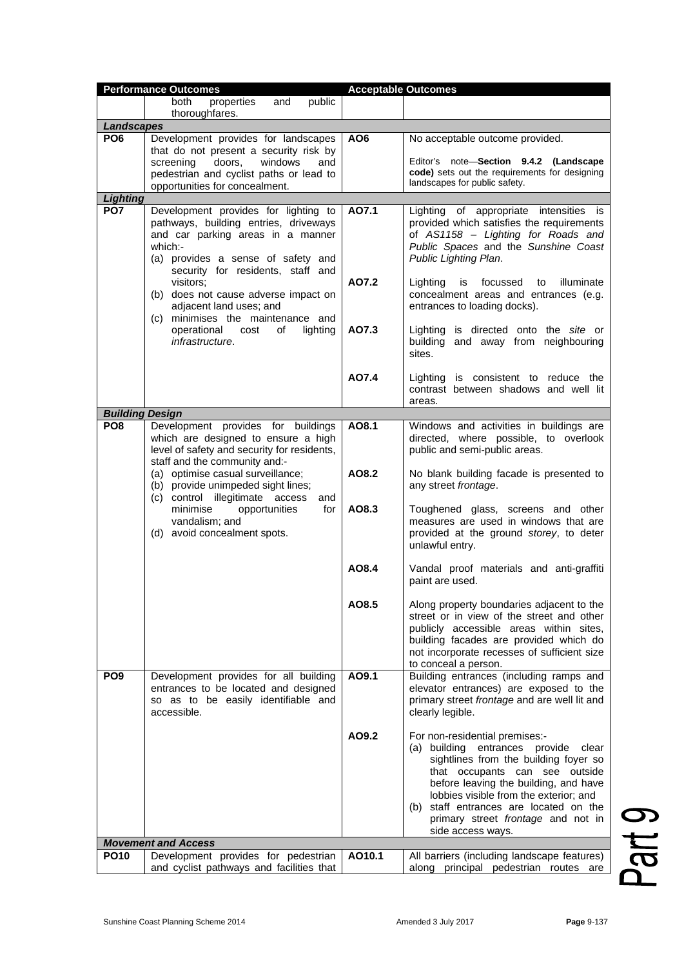| <b>Performance Outcomes</b>               |                                                                               | <b>Acceptable Outcomes</b> |                                                                                       |
|-------------------------------------------|-------------------------------------------------------------------------------|----------------------------|---------------------------------------------------------------------------------------|
|                                           | and<br>public<br>both<br>properties                                           |                            |                                                                                       |
|                                           | thoroughfares.                                                                |                            |                                                                                       |
| <b>Landscapes</b>                         |                                                                               |                            |                                                                                       |
| PO <sub>6</sub>                           | Development provides for landscapes<br>that do not present a security risk by | AO <sub>6</sub>            | No acceptable outcome provided.                                                       |
|                                           | doors,<br>windows<br>screening<br>and                                         |                            | Editor's note-Section 9.4.2 (Landscape                                                |
|                                           | pedestrian and cyclist paths or lead to                                       |                            | code) sets out the requirements for designing                                         |
|                                           | opportunities for concealment.                                                |                            | landscapes for public safety.                                                         |
| Lighting                                  |                                                                               |                            |                                                                                       |
| PO <sub>7</sub>                           | Development provides for lighting to                                          | AO7.1                      | Lighting of appropriate intensities is                                                |
|                                           | pathways, building entries, driveways                                         |                            | provided which satisfies the requirements                                             |
|                                           | and car parking areas in a manner                                             |                            | of AS1158 - Lighting for Roads and                                                    |
|                                           | which:-                                                                       |                            | Public Spaces and the Sunshine Coast                                                  |
|                                           | (a) provides a sense of safety and                                            |                            | Public Lighting Plan.                                                                 |
|                                           | security for residents, staff and                                             | AO7.2                      |                                                                                       |
|                                           | visitors:<br>(b) does not cause adverse impact on                             |                            | focussed to<br>illuminate<br>Lighting<br>is<br>concealment areas and entrances (e.g.  |
|                                           | adjacent land uses; and                                                       |                            | entrances to loading docks).                                                          |
|                                           | (c) minimises the maintenance and                                             |                            |                                                                                       |
|                                           | operational<br>lighting<br>cost<br>οf                                         | AO7.3                      | Lighting is directed onto the site or                                                 |
|                                           | infrastructure.                                                               |                            | building and away from neighbouring                                                   |
|                                           |                                                                               |                            | sites.                                                                                |
|                                           |                                                                               |                            |                                                                                       |
|                                           |                                                                               | A07.4                      | Lighting is consistent to reduce the                                                  |
|                                           |                                                                               |                            | contrast between shadows and well lit                                                 |
|                                           |                                                                               |                            | areas.                                                                                |
| <b>Building Design</b><br>PO <sub>8</sub> |                                                                               | AO8.1                      |                                                                                       |
|                                           | Development provides for buildings<br>which are designed to ensure a high     |                            | Windows and activities in buildings are<br>directed, where possible, to overlook      |
|                                           | level of safety and security for residents,                                   |                            | public and semi-public areas.                                                         |
|                                           | staff and the community and:-                                                 |                            |                                                                                       |
|                                           | (a) optimise casual surveillance;                                             | AO8.2                      | No blank building facade is presented to                                              |
|                                           | (b) provide unimpeded sight lines;                                            |                            | any street frontage.                                                                  |
|                                           | (c) control illegitimate access<br>and                                        |                            |                                                                                       |
|                                           | minimise<br>opportunities<br>for                                              | AO8.3                      | Toughened glass, screens and other                                                    |
|                                           | vandalism; and<br>(d) avoid concealment spots.                                |                            | measures are used in windows that are                                                 |
|                                           |                                                                               |                            | provided at the ground storey, to deter<br>unlawful entry.                            |
|                                           |                                                                               |                            |                                                                                       |
|                                           |                                                                               | AO8.4                      | Vandal proof materials and anti-graffiti                                              |
|                                           |                                                                               |                            | paint are used.                                                                       |
|                                           |                                                                               |                            |                                                                                       |
|                                           |                                                                               | AO8.5                      | Along property boundaries adjacent to the                                             |
|                                           |                                                                               |                            | street or in view of the street and other                                             |
|                                           |                                                                               |                            | publicly accessible areas within sites,                                               |
|                                           |                                                                               |                            | building facades are provided which do<br>not incorporate recesses of sufficient size |
|                                           |                                                                               |                            | to conceal a person.                                                                  |
| PO <sub>9</sub>                           | Development provides for all building                                         | AO9.1                      | Building entrances (including ramps and                                               |
|                                           | entrances to be located and designed                                          |                            | elevator entrances) are exposed to the                                                |
|                                           | so as to be easily identifiable and                                           |                            | primary street frontage and are well lit and                                          |
|                                           | accessible.                                                                   |                            | clearly legible.                                                                      |
|                                           |                                                                               |                            |                                                                                       |
|                                           |                                                                               | AO9.2                      | For non-residential premises:-                                                        |
|                                           |                                                                               |                            | (a) building entrances provide<br>clear                                               |
|                                           |                                                                               |                            | sightlines from the building foyer so<br>that occupants can see outside               |
|                                           |                                                                               |                            | before leaving the building, and have                                                 |
|                                           |                                                                               |                            | lobbies visible from the exterior; and                                                |
|                                           |                                                                               |                            | (b) staff entrances are located on the                                                |
|                                           |                                                                               |                            | primary street frontage and not in                                                    |
|                                           |                                                                               |                            | side access ways.                                                                     |
|                                           | <b>Movement and Access</b>                                                    |                            |                                                                                       |
| <b>PO10</b>                               | Development provides for pedestrian                                           | AO10.1                     | All barriers (including landscape features)                                           |
|                                           | and cyclist pathways and facilities that                                      |                            | along principal pedestrian routes are                                                 |

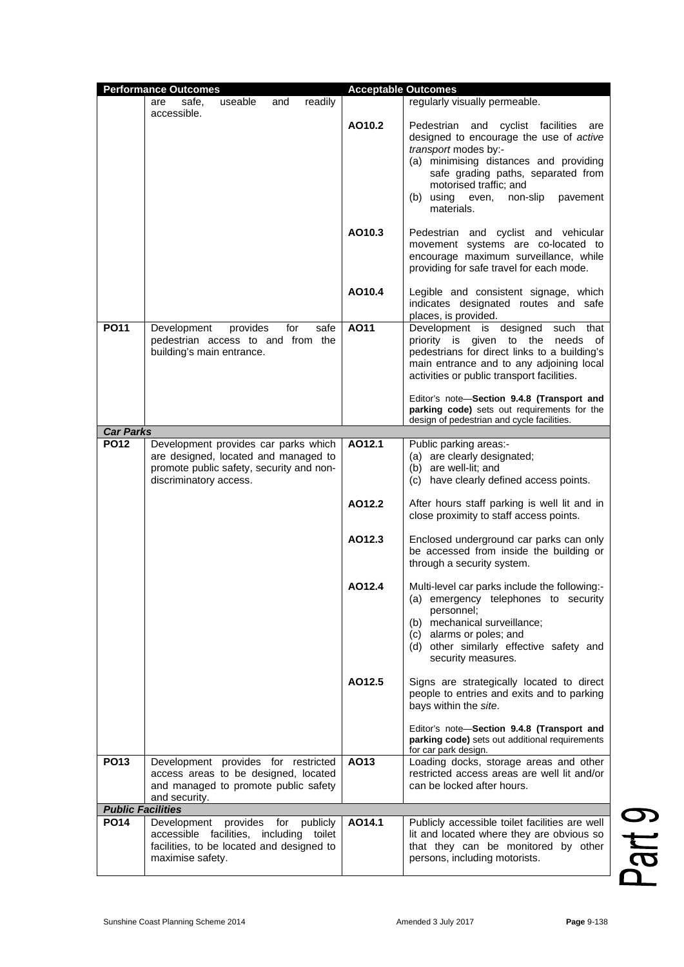|                          | <b>Performance Outcomes</b>                                                                                                                            |        | <b>Acceptable Outcomes</b>                                                                                                                                                                                                                                                        |
|--------------------------|--------------------------------------------------------------------------------------------------------------------------------------------------------|--------|-----------------------------------------------------------------------------------------------------------------------------------------------------------------------------------------------------------------------------------------------------------------------------------|
|                          | readily<br>useable<br>and<br>safe,<br>are                                                                                                              |        | regularly visually permeable.                                                                                                                                                                                                                                                     |
|                          | accessible.                                                                                                                                            | AO10.2 | Pedestrian and cyclist facilities<br>are<br>designed to encourage the use of active<br>transport modes by:-<br>(a) minimising distances and providing<br>safe grading paths, separated from<br>motorised traffic; and<br>(b) using<br>non-slip<br>even,<br>pavement<br>materials. |
|                          |                                                                                                                                                        | AO10.3 | Pedestrian and cyclist and vehicular<br>movement systems are co-located to<br>encourage maximum surveillance, while<br>providing for safe travel for each mode.                                                                                                                   |
|                          |                                                                                                                                                        | AO10.4 | Legible and consistent signage, which<br>indicates designated routes and safe<br>places, is provided.                                                                                                                                                                             |
| <b>PO11</b>              | Development<br>provides<br>for<br>safe<br>pedestrian access to and from the<br>building's main entrance.                                               | AO11   | Development is designed<br>such<br>that<br>priority is given to the needs of<br>pedestrians for direct links to a building's<br>main entrance and to any adjoining local<br>activities or public transport facilities.                                                            |
|                          |                                                                                                                                                        |        | Editor's note-Section 9.4.8 (Transport and<br>parking code) sets out requirements for the<br>design of pedestrian and cycle facilities.                                                                                                                                           |
| <b>Car Parks</b>         |                                                                                                                                                        |        |                                                                                                                                                                                                                                                                                   |
| <b>PO12</b>              | Development provides car parks which<br>are designed, located and managed to<br>promote public safety, security and non-<br>discriminatory access.     | AO12.1 | Public parking areas:-<br>(a) are clearly designated;<br>(b) are well-lit; and<br>(c) have clearly defined access points.                                                                                                                                                         |
|                          |                                                                                                                                                        | AO12.2 | After hours staff parking is well lit and in<br>close proximity to staff access points.                                                                                                                                                                                           |
|                          |                                                                                                                                                        | AO12.3 | Enclosed underground car parks can only<br>be accessed from inside the building or<br>through a security system.                                                                                                                                                                  |
|                          |                                                                                                                                                        | AO12.4 | Multi-level car parks include the following:-<br>(a) emergency telephones to security<br>personnel;<br>(b) mechanical surveillance;<br>(c) alarms or poles; and<br>(d) other similarly effective safety and<br>security measures.                                                 |
|                          |                                                                                                                                                        | AO12.5 | Signs are strategically located to direct<br>people to entries and exits and to parking<br>bays within the site.                                                                                                                                                                  |
|                          |                                                                                                                                                        |        | Editor's note-Section 9.4.8 (Transport and<br>parking code) sets out additional requirements<br>for car park design.                                                                                                                                                              |
| <b>PO13</b>              | Development provides for restricted<br>access areas to be designed, located<br>and managed to promote public safety<br>and security.                   | AO13   | Loading docks, storage areas and other<br>restricted access areas are well lit and/or<br>can be locked after hours.                                                                                                                                                               |
| <b>Public Facilities</b> |                                                                                                                                                        |        |                                                                                                                                                                                                                                                                                   |
| <b>PO14</b>              | Development<br>provides for<br>publicly<br>accessible<br>facilities, including toilet<br>facilities, to be located and designed to<br>maximise safety. | AO14.1 | Publicly accessible toilet facilities are well<br>lit and located where they are obvious so<br>that they can be monitored by other<br>persons, including motorists.                                                                                                               |